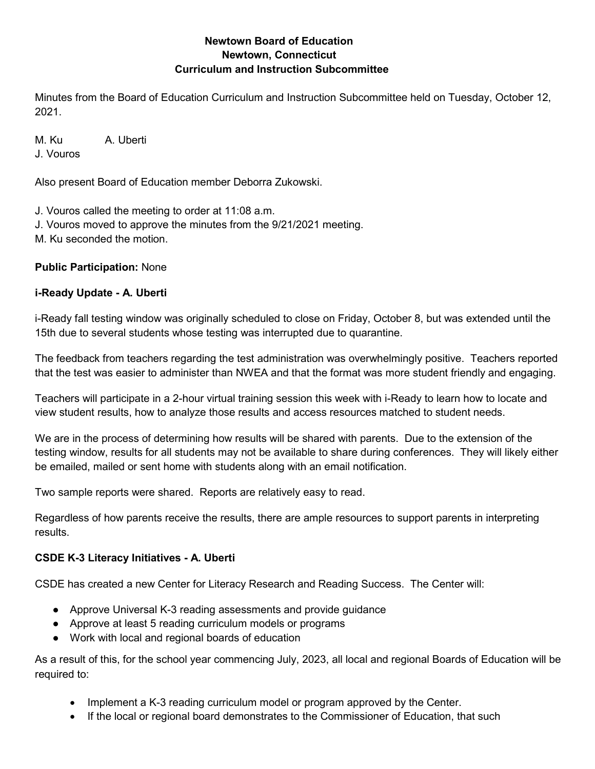### **Newtown Board of Education Newtown, Connecticut Curriculum and Instruction Subcommittee**

Minutes from the Board of Education Curriculum and Instruction Subcommittee held on Tuesday, October 12, 2021.

M. Ku A. Uberti

J. Vouros

Also present Board of Education member Deborra Zukowski.

J. Vouros called the meeting to order at 11:08 a.m.

- J. Vouros moved to approve the minutes from the 9/21/2021 meeting.
- M. Ku seconded the motion.

# **Public Participation:** None

# **i-Ready Update - A. Uberti**

i-Ready fall testing window was originally scheduled to close on Friday, October 8, but was extended until the 15th due to several students whose testing was interrupted due to quarantine.

The feedback from teachers regarding the test administration was overwhelmingly positive. Teachers reported that the test was easier to administer than NWEA and that the format was more student friendly and engaging.

Teachers will participate in a 2-hour virtual training session this week with i-Ready to learn how to locate and view student results, how to analyze those results and access resources matched to student needs.

We are in the process of determining how results will be shared with parents. Due to the extension of the testing window, results for all students may not be available to share during conferences. They will likely either be emailed, mailed or sent home with students along with an email notification.

Two sample reports were shared. Reports are relatively easy to read.

Regardless of how parents receive the results, there are ample resources to support parents in interpreting results.

# **CSDE K-3 Literacy Initiatives - A. Uberti**

CSDE has created a new Center for Literacy Research and Reading Success. The Center will:

- Approve Universal K-3 reading assessments and provide guidance
- Approve at least 5 reading curriculum models or programs
- Work with local and regional boards of education

As a result of this, for the school year commencing July, 2023, all local and regional Boards of Education will be required to:

- Implement a K-3 reading curriculum model or program approved by the Center.
- If the local or regional board demonstrates to the Commissioner of Education, that such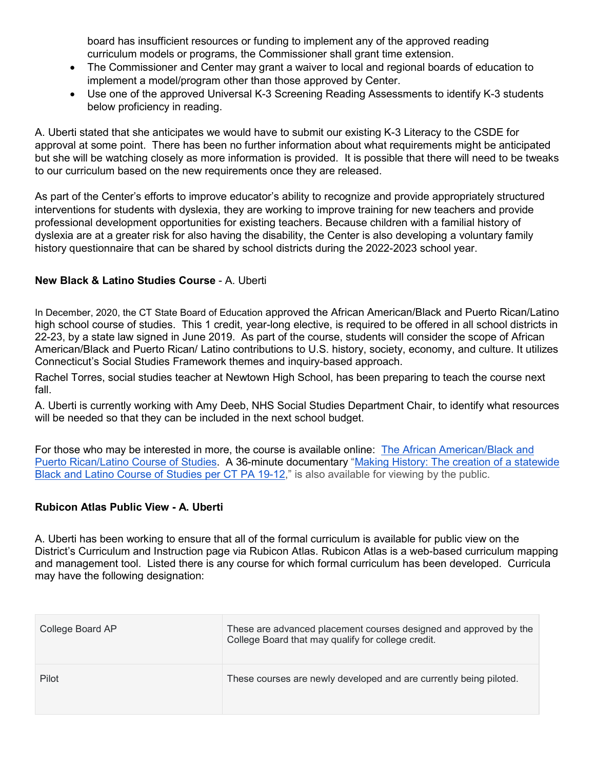board has insufficient resources or funding to implement any of the approved reading curriculum models or programs, the Commissioner shall grant time extension.

- The Commissioner and Center may grant a waiver to local and regional boards of education to implement a model/program other than those approved by Center.
- Use one of the approved Universal K-3 Screening Reading Assessments to identify K-3 students below proficiency in reading.

A. Uberti stated that she anticipates we would have to submit our existing K-3 Literacy to the CSDE for approval at some point. There has been no further information about what requirements might be anticipated but she will be watching closely as more information is provided. It is possible that there will need to be tweaks to our curriculum based on the new requirements once they are released.

As part of the Center's efforts to improve educator's ability to recognize and provide appropriately structured interventions for students with dyslexia, they are working to improve training for new teachers and provide professional development opportunities for existing teachers. Because children with a familial history of dyslexia are at a greater risk for also having the disability, the Center is also developing a voluntary family history questionnaire that can be shared by school districts during the 2022-2023 school year.

### **New Black & Latino Studies Course** - A. Uberti

In December, 2020, the CT State Board of Education approved the African American/Black and Puerto Rican/Latino high school course of studies. This 1 credit, year-long elective, is required to be offered in all school districts in 22-23, by a state law signed in June 2019. As part of the course, students will consider the scope of African American/Black and Puerto Rican/ Latino contributions to U.S. history, society, economy, and culture. It utilizes Connecticut's Social Studies Framework themes and inquiry-based approach.

Rachel Torres, social studies teacher at Newtown High School, has been preparing to teach the course next fall.

A. Uberti is currently working with Amy Deeb, NHS Social Studies Department Chair, to identify what resources will be needed so that they can be included in the next school budget.

For those who may be interested in more, the course is available online: [The African American/Black and](https://files.serc.co/pa1912/20210701-CT%20BL%20Curriculum%20-%20screen%20-%20v1.pdf)  [Puerto Rican/Latino Course of Studies.](https://files.serc.co/pa1912/20210701-CT%20BL%20Curriculum%20-%20screen%20-%20v1.pdf) A 36-minute documentary ["Making History: The creation of a statewide](https://pa1912.serc.co/making-history-the-black-and-latino-studies-documentary/)  [Black and Latino Course of Studies per CT PA 19-12,](https://pa1912.serc.co/making-history-the-black-and-latino-studies-documentary/)" is also available for viewing by the public.

### **Rubicon Atlas Public View - A. Uberti**

A. Uberti has been working to ensure that all of the formal curriculum is available for public view on the District's Curriculum and Instruction page via Rubicon Atlas. Rubicon Atlas is a web-based curriculum mapping and management tool. Listed there is any course for which formal curriculum has been developed. Curricula may have the following designation:

| College Board AP | These are advanced placement courses designed and approved by the<br>College Board that may qualify for college credit. |
|------------------|-------------------------------------------------------------------------------------------------------------------------|
| Pilot            | These courses are newly developed and are currently being piloted.                                                      |